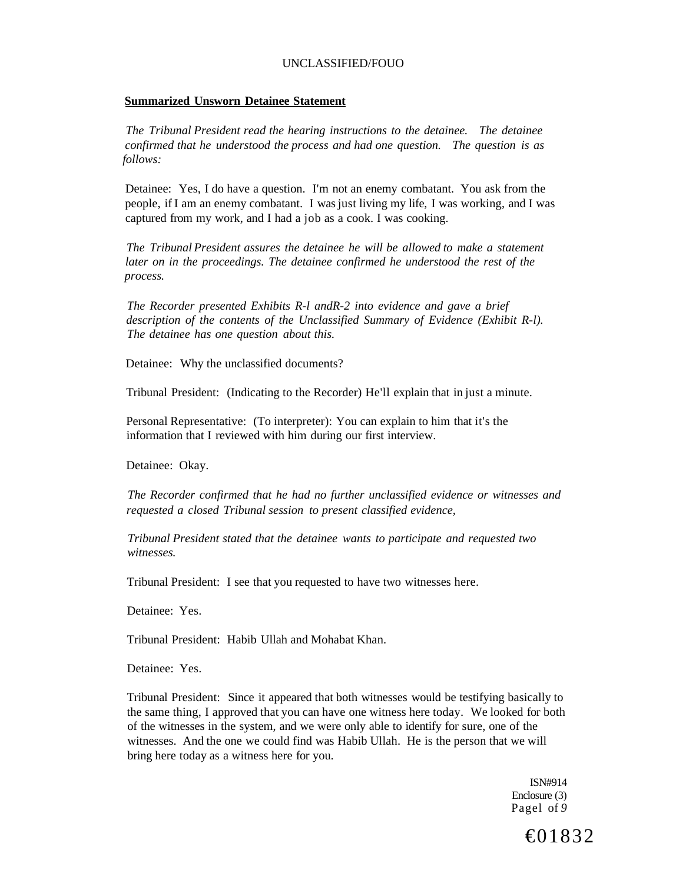#### **Summarized Unsworn Detainee Statement**

*The Tribunal President read the hearing instructions to the detainee. The detainee confirmed that he understood the process and had one question. The question is as follows:* 

Detainee: Yes, I do have a question. I'm not an enemy combatant. You ask from the people, if I am an enemy combatant. I was just living my life, I was working, and I was captured from my work, and I had a job as a cook. I was cooking.

*The Tribunal President assures the detainee he will be allowed to make a statement later on in the proceedings. The detainee confirmed he understood the rest of the process.* 

*The Recorder presented Exhibits R-l andR-2 into evidence and gave a brief description of the contents of the Unclassified Summary of Evidence (Exhibit R-l). The detainee has one question about this.* 

Detainee: Why the unclassified documents?

Tribunal President: (Indicating to the Recorder) He'll explain that in just a minute.

Personal Representative: (To interpreter): You can explain to him that it's the information that I reviewed with him during our first interview.

Detainee: Okay.

*The Recorder confirmed that he had no further unclassified evidence or witnesses and requested a closed Tribunal session to present classified evidence,* 

*Tribunal President stated that the detainee wants to participate and requested two witnesses.* 

Tribunal President: I see that you requested to have two witnesses here.

Detainee: Yes.

Tribunal President: Habib Ullah and Mohabat Khan.

Detainee: Yes.

Tribunal President: Since it appeared that both witnesses would be testifying basically to the same thing, I approved that you can have one witness here today. We looked for both of the witnesses in the system, and we were only able to identify for sure, one of the witnesses. And the one we could find was Habib Ullah. He is the person that we will bring here today as a witness here for you.

> ISN#914 Enclosure (3) Pagel of *9*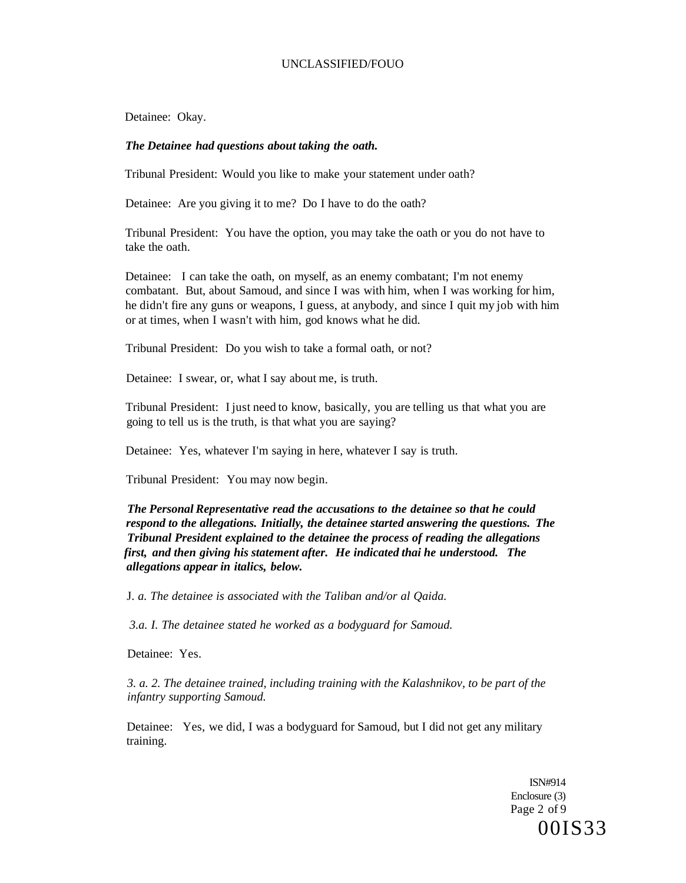Detainee: Okay.

## *The Detainee had questions about taking the oath.*

Tribunal President: Would you like to make your statement under oath?

Detainee: Are you giving it to me? Do I have to do the oath?

Tribunal President: You have the option, you may take the oath or you do not have to take the oath.

Detainee: I can take the oath, on myself, as an enemy combatant; I'm not enemy combatant. But, about Samoud, and since I was with him, when I was working for him, he didn't fire any guns or weapons, I guess, at anybody, and since I quit my job with him or at times, when I wasn't with him, god knows what he did.

Tribunal President: Do you wish to take a formal oath, or not?

Detainee: I swear, or, what I say about me, is truth.

Tribunal President: I just need to know, basically, you are telling us that what you are going to tell us is the truth, is that what you are saying?

Detainee: Yes, whatever I'm saying in here, whatever I say is truth.

Tribunal President: You may now begin.

*The Personal Representative read the accusations to the detainee so that he could respond to the allegations. Initially, the detainee started answering the questions. The Tribunal President explained to the detainee the process of reading the allegations first, and then giving his statement after. He indicated thai he understood. The allegations appear in italics, below.* 

J. *a. The detainee is associated with the Taliban and/or al Qaida.* 

*3.a. I. The detainee stated he worked as a bodyguard for Samoud.* 

Detainee: Yes.

*3. a. 2. The detainee trained, including training with the Kalashnikov, to be part of the infantry supporting Samoud.* 

Detainee: Yes, we did, I was a bodyguard for Samoud, but I did not get any military training.

> ISN#914 Enclosure (3) Page 2 of 9 00IS33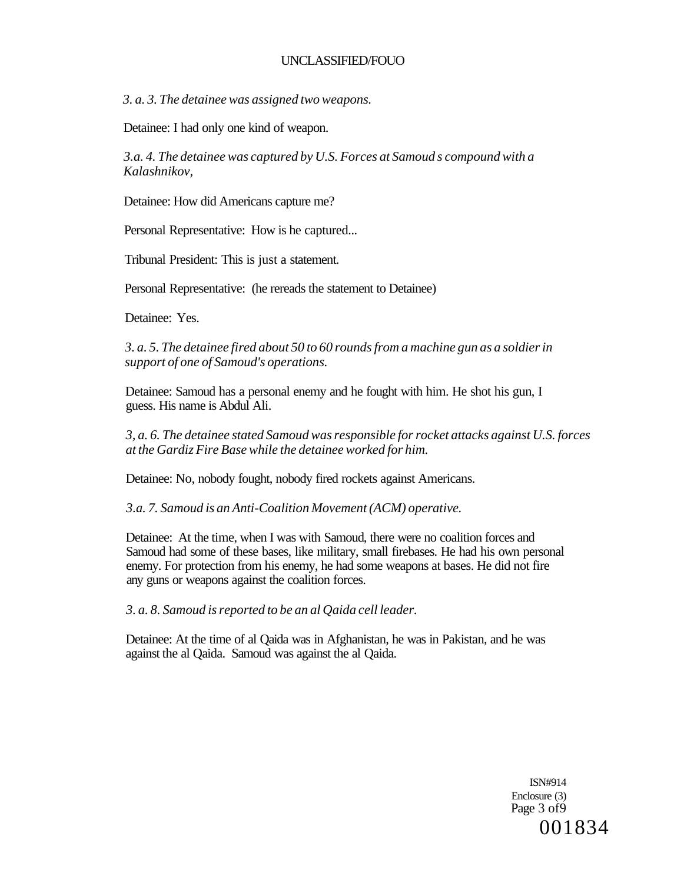*3. a. 3. The detainee was assigned two weapons.* 

Detainee: I had only one kind of weapon.

*3.a. 4. The detainee was captured by U.S. Forces at Samoud s compound with a Kalashnikov,* 

Detainee: How did Americans capture me?

Personal Representative: How is he captured...

Tribunal President: This is just a statement.

Personal Representative: (he rereads the statement to Detainee)

Detainee: Yes.

*3. a. 5. The detainee fired about 50 to 60 rounds from a machine gun as a soldier in support of one of Samoud's operations.* 

Detainee: Samoud has a personal enemy and he fought with him. He shot his gun, I guess. His name is Abdul Ali.

*3, a. 6. The detainee stated Samoud was responsible for rocket attacks against U.S. forces at the Gardiz Fire Base while the detainee worked for him.* 

Detainee: No, nobody fought, nobody fired rockets against Americans.

*3.a. 7. Samoud is an Anti-Coalition Movement (ACM) operative.* 

Detainee: At the time, when I was with Samoud, there were no coalition forces and Samoud had some of these bases, like military, small firebases. He had his own personal enemy. For protection from his enemy, he had some weapons at bases. He did not fire any guns or weapons against the coalition forces.

*3. a. 8. Samoud is reported to be an al Qaida cell leader.* 

Detainee: At the time of al Qaida was in Afghanistan, he was in Pakistan, and he was against the al Qaida. Samoud was against the al Qaida.

> ISN#914 Enclosure (3) Page 3 of 9 001834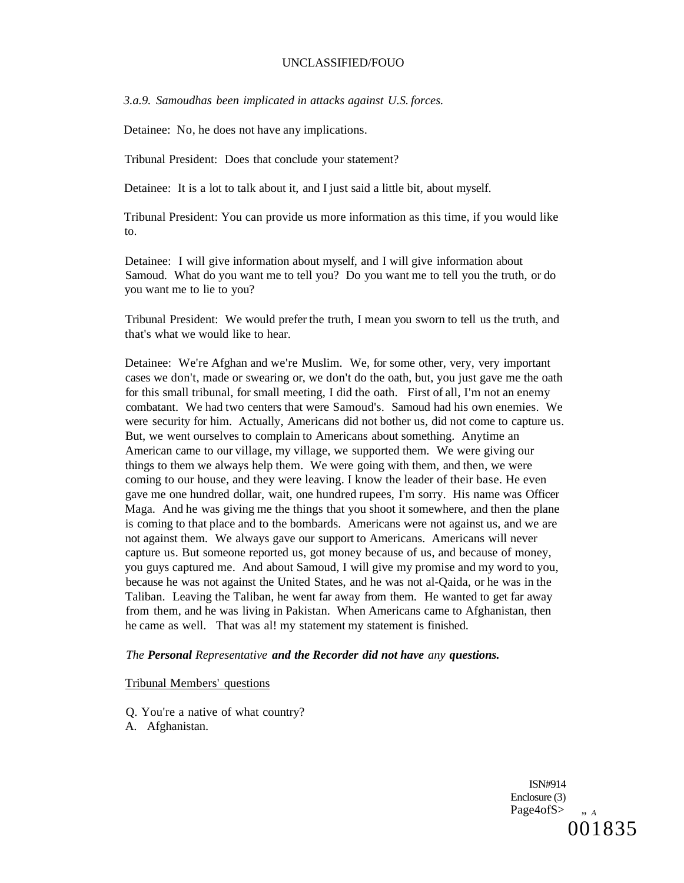*3.a.9. Samoudhas been implicated in attacks against U.S. forces.* 

Detainee: No, he does not have any implications.

Tribunal President: Does that conclude your statement?

Detainee: It is a lot to talk about it, and I just said a little bit, about myself.

Tribunal President: You can provide us more information as this time, if you would like to.

Detainee: I will give information about myself, and I will give information about Samoud. What do you want me to tell you? Do you want me to tell you the truth, or do you want me to lie to you?

Tribunal President: We would prefer the truth, I mean you sworn to tell us the truth, and that's what we would like to hear.

Detainee: We're Afghan and we're Muslim. We, for some other, very, very important cases we don't, made or swearing or, we don't do the oath, but, you just gave me the oath for this small tribunal, for small meeting, I did the oath. First of all, I'm not an enemy combatant. We had two centers that were Samoud's. Samoud had his own enemies. We were security for him. Actually, Americans did not bother us, did not come to capture us. But, we went ourselves to complain to Americans about something. Anytime an American came to our village, my village, we supported them. We were giving our things to them we always help them. We were going with them, and then, we were coming to our house, and they were leaving. I know the leader of their base. He even gave me one hundred dollar, wait, one hundred rupees, I'm sorry. His name was Officer Maga. And he was giving me the things that you shoot it somewhere, and then the plane is coming to that place and to the bombards. Americans were not against us, and we are not against them. We always gave our support to Americans. Americans will never capture us. But someone reported us, got money because of us, and because of money, you guys captured me. And about Samoud, I will give my promise and my word to you, because he was not against the United States, and he was not al-Qaida, or he was in the Taliban. Leaving the Taliban, he went far away from them. He wanted to get far away from them, and he was living in Pakistan. When Americans came to Afghanistan, then he came as well. That was al! my statement my statement is finished.

#### *The Personal Representative and the Recorder did not have any questions.*

#### Tribunal Members' questions

Q. You're a native of what country?

A. Afghanistan.

ISN#914 Enclosure (3) Page4ofS $>$   $\ldots$  *A* 001835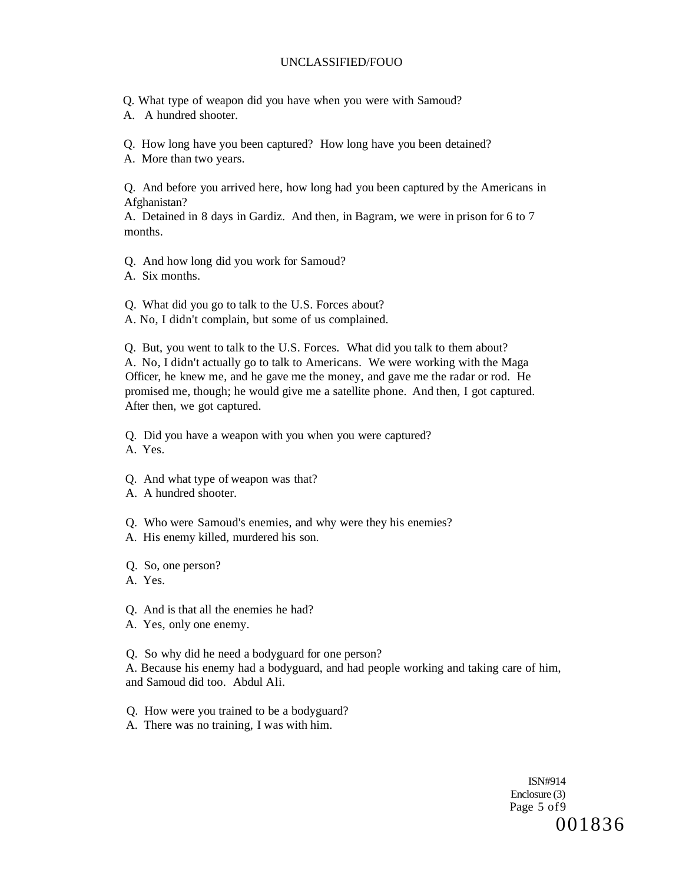Q. What type of weapon did you have when you were with Samoud?

A. A hundred shooter.

Q. How long have you been captured? How long have you been detained?

A. More than two years.

Q. And before you arrived here, how long had you been captured by the Americans in Afghanistan?

A. Detained in 8 days in Gardiz. And then, in Bagram, we were in prison for 6 to 7 months.

Q. And how long did you work for Samoud?

A. Six months.

Q. What did you go to talk to the U.S. Forces about?

A. No, I didn't complain, but some of us complained.

Q. But, you went to talk to the U.S. Forces. What did you talk to them about? A. No, I didn't actually go to talk to Americans. We were working with the Maga Officer, he knew me, and he gave me the money, and gave me the radar or rod. He promised me, though; he would give me a satellite phone. And then, I got captured. After then, we got captured.

Q. Did you have a weapon with you when you were captured?

A. Yes.

- Q. And what type of weapon was that?
- A. A hundred shooter.
- Q. Who were Samoud's enemies, and why were they his enemies?
- A. His enemy killed, murdered his son.

Q. So, one person?

A. Yes.

- Q. And is that all the enemies he had?
- A. Yes, only one enemy.

Q. So why did he need a bodyguard for one person?

A. Because his enemy had a bodyguard, and had people working and taking care of him, and Samoud did too. Abdul Ali.

Q. How were you trained to be a bodyguard?

A. There was no training, I was with him.

ISN#914 Enclosure (3) Page 5 of9 001836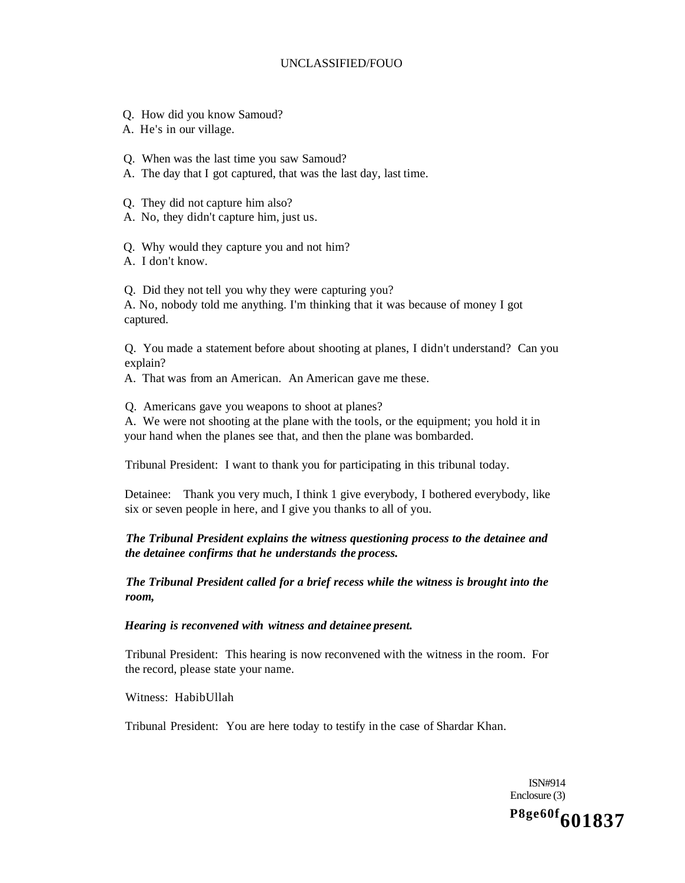- Q. How did you know Samoud?
- A. He's in our village.
- Q. When was the last time you saw Samoud?
- A. The day that I got captured, that was the last day, last time.
- Q. They did not capture him also?
- A. No, they didn't capture him, just us.
- Q. Why would they capture you and not him?
- A. I don't know.

Q. Did they not tell you why they were capturing you?

A. No, nobody told me anything. I'm thinking that it was because of money I got captured.

Q. You made a statement before about shooting at planes, I didn't understand? Can you explain?

A. That was from an American. An American gave me these.

Q. Americans gave you weapons to shoot at planes?

A. We were not shooting at the plane with the tools, or the equipment; you hold it in your hand when the planes see that, and then the plane was bombarded.

Tribunal President: I want to thank you for participating in this tribunal today.

Detainee: Thank you very much, I think 1 give everybody, I bothered everybody, like six or seven people in here, and I give you thanks to all of you.

# *The Tribunal President explains the witness questioning process to the detainee and the detainee confirms that he understands the process.*

*The Tribunal President called for a brief recess while the witness is brought into the room,* 

*Hearing is reconvened with witness and detainee present.* 

Tribunal President: This hearing is now reconvened with the witness in the room. For the record, please state your name.

Witness: HabibUllah

Tribunal President: You are here today to testify in the case of Shardar Khan.

ISN#914 Enclosure (3)

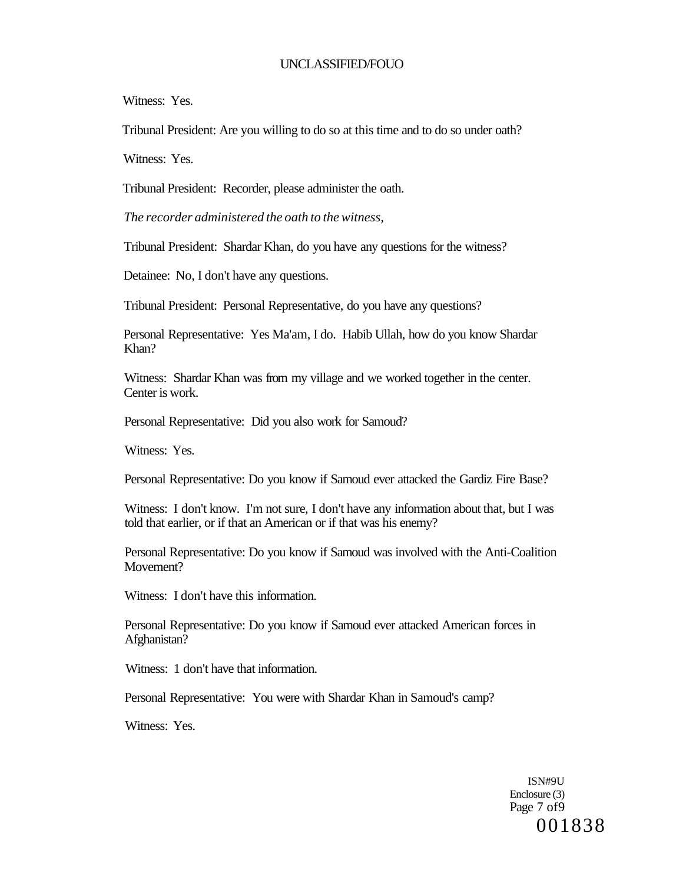Witness: Yes.

Tribunal President: Are you willing to do so at this time and to do so under oath?

Witness: Yes.

Tribunal President: Recorder, please administer the oath.

*The recorder administered the oath to the witness,* 

Tribunal President: Shardar Khan, do you have any questions for the witness?

Detainee: No, I don't have any questions.

Tribunal President: Personal Representative, do you have any questions?

Personal Representative: Yes Ma'am, I do. Habib Ullah, how do you know Shardar Khan?

Witness: Shardar Khan was from my village and we worked together in the center. Center is work.

Personal Representative: Did you also work for Samoud?

Witness: Yes.

Personal Representative: Do you know if Samoud ever attacked the Gardiz Fire Base?

Witness: I don't know. I'm not sure, I don't have any information about that, but I was told that earlier, or if that an American or if that was his enemy?

Personal Representative: Do you know if Samoud was involved with the Anti-Coalition Movement?

Witness: I don't have this information.

Personal Representative: Do you know if Samoud ever attacked American forces in Afghanistan?

Witness: 1 don't have that information.

Personal Representative: You were with Shardar Khan in Samoud's camp?

Witness: Yes.

ISN#9U Enclosure (3) Page 7 of9 001838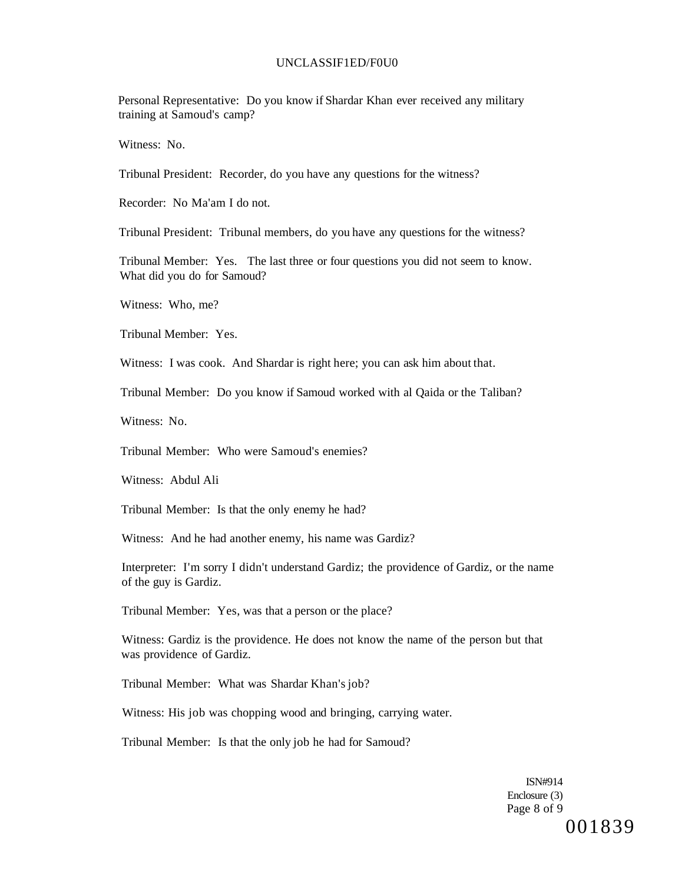#### UNCLASSIF1ED/F0U0

Personal Representative: Do you know if Shardar Khan ever received any military training at Samoud's camp?

Witness: No.

Tribunal President: Recorder, do you have any questions for the witness?

Recorder: No Ma'am I do not.

Tribunal President: Tribunal members, do you have any questions for the witness?

Tribunal Member: Yes. The last three or four questions you did not seem to know. What did you do for Samoud?

Witness: Who, me?

Tribunal Member: Yes.

Witness: I was cook. And Shardar is right here; you can ask him about that.

Tribunal Member: Do you know if Samoud worked with al Qaida or the Taliban?

Witness: No.

Tribunal Member: Who were Samoud's enemies?

Witness: Abdul Ali

Tribunal Member: Is that the only enemy he had?

Witness: And he had another enemy, his name was Gardiz?

Interpreter: I'm sorry I didn't understand Gardiz; the providence of Gardiz, or the name of the guy is Gardiz.

Tribunal Member: Yes, was that a person or the place?

Witness: Gardiz is the providence. He does not know the name of the person but that was providence of Gardiz.

Tribunal Member: What was Shardar Khan's job?

Witness: His job was chopping wood and bringing, carrying water.

Tribunal Member: Is that the only job he had for Samoud?

ISN#914 Enclosure (3) Page 8 of 9 001839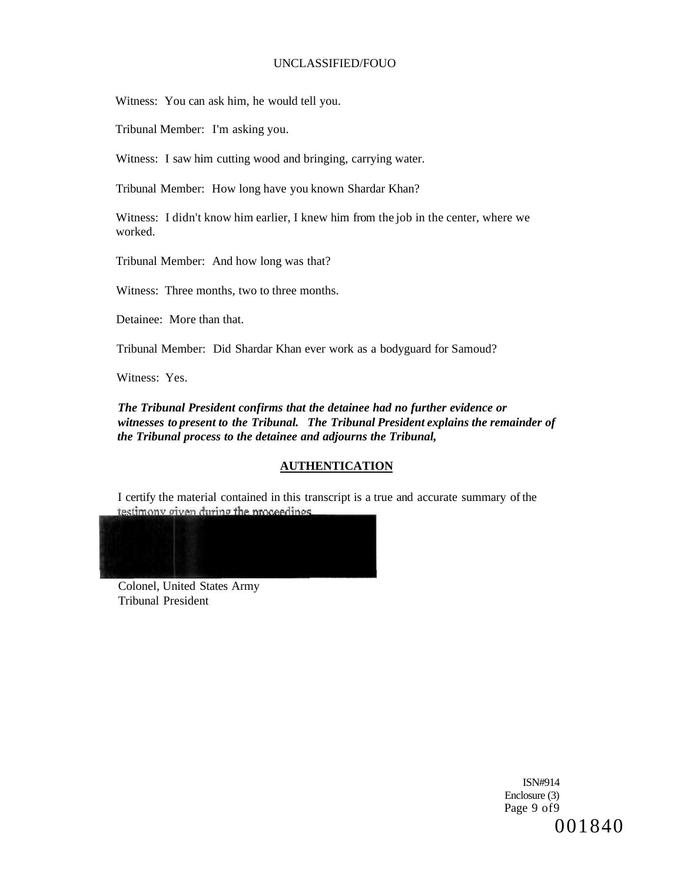Witness: You can ask him, he would tell you.

Tribunal Member: I'm asking you.

Witness: I saw him cutting wood and bringing, carrying water.

Tribunal Member: How long have you known Shardar Khan?

Witness: I didn't know him earlier, I knew him from the job in the center, where we worked.

Tribunal Member: And how long was that?

Witness: Three months, two to three months.

Detainee: More than that.

Tribunal Member: Did Shardar Khan ever work as a bodyguard for Samoud?

Witness: Yes.

*The Tribunal President confirms that the detainee had no further evidence or witnesses to present to the Tribunal. The Tribunal President explains the remainder of the Tribunal process to the detainee and adjourns the Tribunal,* 

# **AUTHENTICATION**

I certify the material contained in this transcript is a true and accurate summary of the testimony given during the proceedings.



Colonel, United States Army Tribunal President

> ISN#914 Enclosure (3) Page 9 of9 001840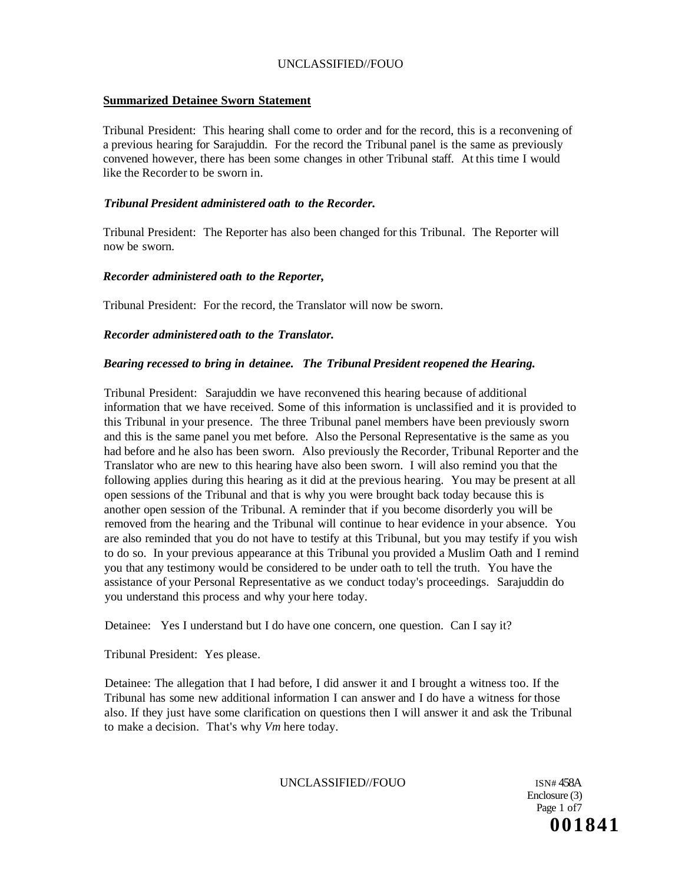### **Summarized Detainee Sworn Statement**

Tribunal President: This hearing shall come to order and for the record, this is a reconvening of a previous hearing for Sarajuddin. For the record the Tribunal panel is the same as previously convened however, there has been some changes in other Tribunal staff. At this time I would like the Recorder to be sworn in.

### *Tribunal President administered oath to the Recorder.*

Tribunal President: The Reporter has also been changed for this Tribunal. The Reporter will now be sworn.

### *Recorder administered oath to the Reporter,*

Tribunal President: For the record, the Translator will now be sworn.

### *Recorder administered oath to the Translator.*

### *Bearing recessed to bring in detainee. The Tribunal President reopened the Hearing.*

Tribunal President: Sarajuddin we have reconvened this hearing because of additional information that we have received. Some of this information is unclassified and it is provided to this Tribunal in your presence. The three Tribunal panel members have been previously sworn and this is the same panel you met before. Also the Personal Representative is the same as you had before and he also has been sworn. Also previously the Recorder, Tribunal Reporter and the Translator who are new to this hearing have also been sworn. I will also remind you that the following applies during this hearing as it did at the previous hearing. You may be present at all open sessions of the Tribunal and that is why you were brought back today because this is another open session of the Tribunal. A reminder that if you become disorderly you will be removed from the hearing and the Tribunal will continue to hear evidence in your absence. You are also reminded that you do not have to testify at this Tribunal, but you may testify if you wish to do so. In your previous appearance at this Tribunal you provided a Muslim Oath and I remind you that any testimony would be considered to be under oath to tell the truth. You have the assistance of your Personal Representative as we conduct today's proceedings. Sarajuddin do you understand this process and why your here today.

Detainee: Yes I understand but I do have one concern, one question. Can I say it?

Tribunal President: Yes please.

Detainee: The allegation that I had before, I did answer it and I brought a witness too. If the Tribunal has some new additional information I can answer and I do have a witness for those also. If they just have some clarification on questions then I will answer it and ask the Tribunal to make a decision. That's why *Vm* here today.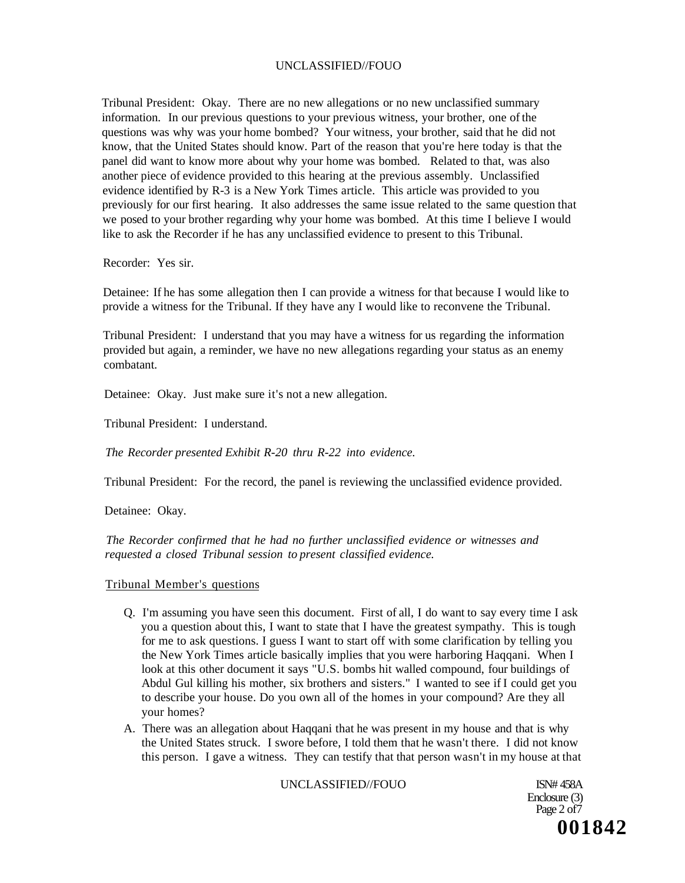Tribunal President: Okay. There are no new allegations or no new unclassified summary information. In our previous questions to your previous witness, your brother, one of the questions was why was your home bombed? Your witness, your brother, said that he did not know, that the United States should know. Part of the reason that you're here today is that the panel did want to know more about why your home was bombed. Related to that, was also another piece of evidence provided to this hearing at the previous assembly. Unclassified evidence identified by R-3 is a New York Times article. This article was provided to you previously for our first hearing. It also addresses the same issue related to the same question that we posed to your brother regarding why your home was bombed. At this time I believe I would like to ask the Recorder if he has any unclassified evidence to present to this Tribunal.

Recorder: Yes sir.

Detainee: If he has some allegation then I can provide a witness for that because I would like to provide a witness for the Tribunal. If they have any I would like to reconvene the Tribunal.

Tribunal President: I understand that you may have a witness for us regarding the information provided but again, a reminder, we have no new allegations regarding your status as an enemy combatant.

Detainee: Okay. Just make sure it's not a new allegation.

Tribunal President: I understand.

*The Recorder presented Exhibit R-20 thru R-22 into evidence.* 

Tribunal President: For the record, the panel is reviewing the unclassified evidence provided.

Detainee: Okay.

*The Recorder confirmed that he had no further unclassified evidence or witnesses and requested a closed Tribunal session to present classified evidence.* 

#### Tribunal Member's questions

- Q. I'm assuming you have seen this document. First of all, I do want to say every time I ask you a question about this, I want to state that I have the greatest sympathy. This is tough for me to ask questions. I guess I want to start off with some clarification by telling you the New York Times article basically implies that you were harboring Haqqani. When I look at this other document it says "U.S. bombs hit walled compound, four buildings of Abdul Gul killing his mother, six brothers and sisters." I wanted to see if I could get you to describe your house. Do you own all of the homes in your compound? Are they all your homes?
- A. There was an allegation about Haqqani that he was present in my house and that is why the United States struck. I swore before, I told them that he wasn't there. I did not know this person. I gave a witness. They can testify that that person wasn't in my house at that

UNCLASSIFIED//FOUO ISN# 458A

Enclosure (3) Page 2 of 7 **001842**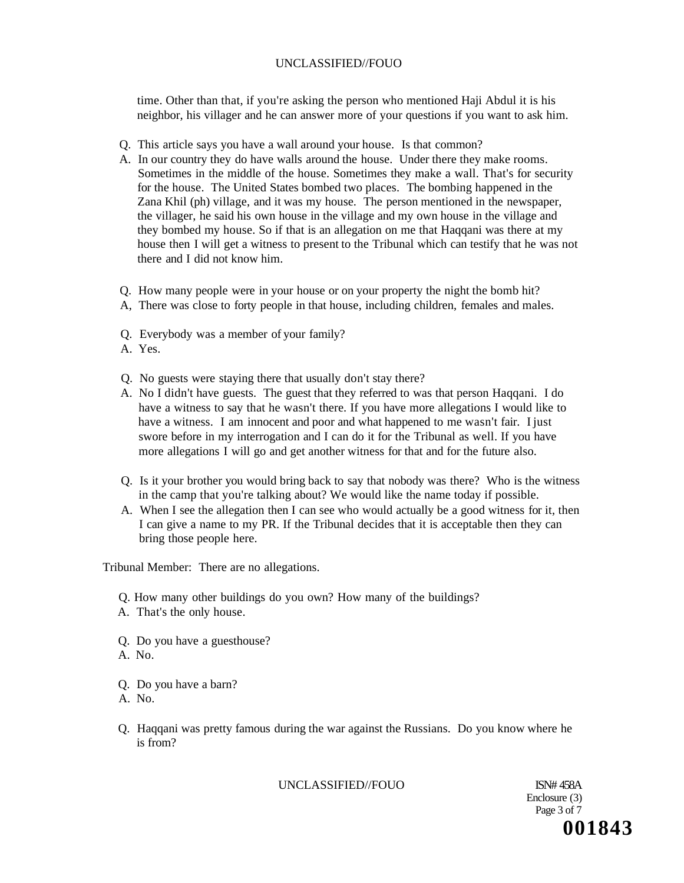time. Other than that, if you're asking the person who mentioned Haji Abdul it is his neighbor, his villager and he can answer more of your questions if you want to ask him.

- Q. This article says you have a wall around your house. Is that common?
- A. In our country they do have walls around the house. Under there they make rooms. Sometimes in the middle of the house. Sometimes they make a wall. That's for security for the house. The United States bombed two places. The bombing happened in the Zana Khil (ph) village, and it was my house. The person mentioned in the newspaper, the villager, he said his own house in the village and my own house in the village and they bombed my house. So if that is an allegation on me that Haqqani was there at my house then I will get a witness to present to the Tribunal which can testify that he was not there and I did not know him.
- Q. How many people were in your house or on your property the night the bomb hit?
- A, There was close to forty people in that house, including children, females and males.
- Q. Everybody was a member of your family?
- A. Yes.
- Q. No guests were staying there that usually don't stay there?
- A. No I didn't have guests. The guest that they referred to was that person Haqqani. I do have a witness to say that he wasn't there. If you have more allegations I would like to have a witness. I am innocent and poor and what happened to me wasn't fair. I just swore before in my interrogation and I can do it for the Tribunal as well. If you have more allegations I will go and get another witness for that and for the future also.
- Q. Is it your brother you would bring back to say that nobody was there? Who is the witness in the camp that you're talking about? We would like the name today if possible.
- A. When I see the allegation then I can see who would actually be a good witness for it, then I can give a name to my PR. If the Tribunal decides that it is acceptable then they can bring those people here.

Tribunal Member: There are no allegations.

- Q. How many other buildings do you own? How many of the buildings?
- A. That's the only house.
- Q. Do you have a guesthouse?
- A. No.
- Q. Do you have a barn?
- A. No.
- Q. Haqqani was pretty famous during the war against the Russians. Do you know where he is from?

#### UNCLASSIFIED//FOUO ISN# 458A

Enclosure (3) Page 3 of 7 **001843**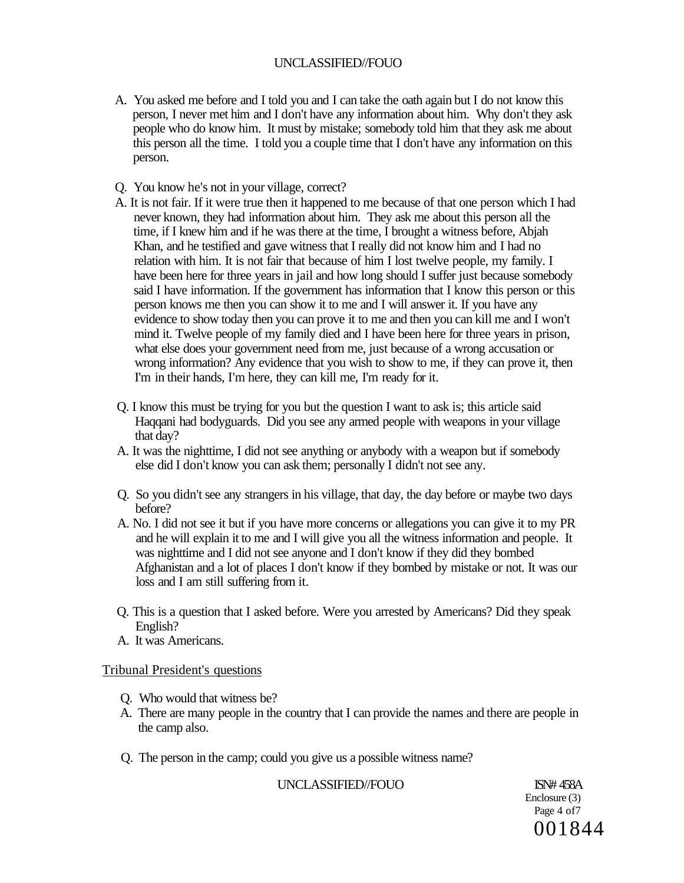- A. You asked me before and I told you and I can take the oath again but I do not know this person, I never met him and I don't have any information about him. Why don't they ask people who do know him. It must by mistake; somebody told him that they ask me about this person all the time. I told you a couple time that I don't have any information on this person.
- Q. You know he's not in your village, correct?
- A. It is not fair. If it were true then it happened to me because of that one person which I had never known, they had information about him. They ask me about this person all the time, if I knew him and if he was there at the time, I brought a witness before, Abjah Khan, and he testified and gave witness that I really did not know him and I had no relation with him. It is not fair that because of him I lost twelve people, my family. I have been here for three years in jail and how long should I suffer just because somebody said I have information. If the government has information that I know this person or this person knows me then you can show it to me and I will answer it. If you have any evidence to show today then you can prove it to me and then you can kill me and I won't mind it. Twelve people of my family died and I have been here for three years in prison, what else does your government need from me, just because of a wrong accusation or wrong information? Any evidence that you wish to show to me, if they can prove it, then I'm in their hands, I'm here, they can kill me, I'm ready for it.
- Q. I know this must be trying for you but the question I want to ask is; this article said Haqqani had bodyguards. Did you see any armed people with weapons in your village that day?
- A. It was the nighttime, I did not see anything or anybody with a weapon but if somebody else did I don't know you can ask them; personally I didn't not see any.
- Q. So you didn't see any strangers in his village, that day, the day before or maybe two days before?
- A. No. I did not see it but if you have more concerns or allegations you can give it to my PR and he will explain it to me and I will give you all the witness information and people. It was nighttime and I did not see anyone and I don't know if they did they bombed Afghanistan and a lot of places I don't know if they bombed by mistake or not. It was our loss and I am still suffering from it.
- Q. This is a question that I asked before. Were you arrested by Americans? Did they speak English?
- A. It was Americans.

# Tribunal President's questions

- Q. Who would that witness be?
- A. There are many people in the country that I can provide the names and there are people in the camp also.
- Q. The person in the camp; could you give us a possible witness name?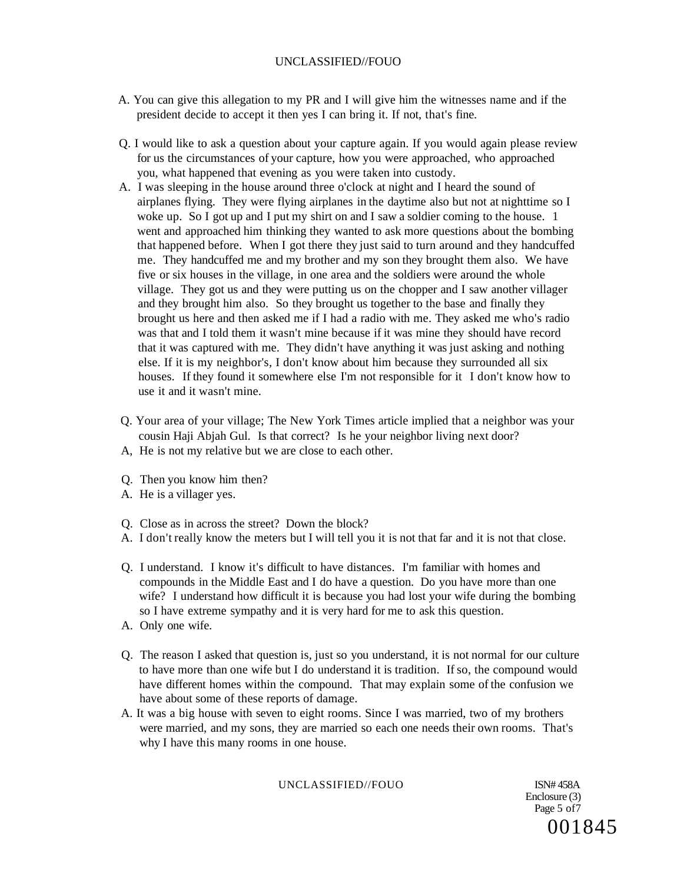- A. You can give this allegation to my PR and I will give him the witnesses name and if the president decide to accept it then yes I can bring it. If not, that's fine.
- Q. I would like to ask a question about your capture again. If you would again please review for us the circumstances of your capture, how you were approached, who approached you, what happened that evening as you were taken into custody.
- A. I was sleeping in the house around three o'clock at night and I heard the sound of airplanes flying. They were flying airplanes in the daytime also but not at nighttime so I woke up. So I got up and I put my shirt on and I saw a soldier coming to the house. 1 went and approached him thinking they wanted to ask more questions about the bombing that happened before. When I got there they just said to turn around and they handcuffed me. They handcuffed me and my brother and my son they brought them also. We have five or six houses in the village, in one area and the soldiers were around the whole village. They got us and they were putting us on the chopper and I saw another villager and they brought him also. So they brought us together to the base and finally they brought us here and then asked me if I had a radio with me. They asked me who's radio was that and I told them it wasn't mine because if it was mine they should have record that it was captured with me. They didn't have anything it was just asking and nothing else. If it is my neighbor's, I don't know about him because they surrounded all six houses. If they found it somewhere else I'm not responsible for it I don't know how to use it and it wasn't mine.
- Q. Your area of your village; The New York Times article implied that a neighbor was your cousin Haji Abjah Gul. Is that correct? Is he your neighbor living next door? A, He is not my relative but we are close to each other.
- Q. Then you know him then?
- A. He is a villager yes.
- Q. Close as in across the street? Down the block?
- A. I don't really know the meters but I will tell you it is not that far and it is not that close.
- Q. I understand. I know it's difficult to have distances. I'm familiar with homes and compounds in the Middle East and I do have a question. Do you have more than one wife? I understand how difficult it is because you had lost your wife during the bombing so I have extreme sympathy and it is very hard for me to ask this question.
- A. Only one wife.
- Q. The reason I asked that question is, just so you understand, it is not normal for our culture to have more than one wife but I do understand it is tradition. If so, the compound would have different homes within the compound. That may explain some of the confusion we have about some of these reports of damage.
- A. It was a big house with seven to eight rooms. Since I was married, two of my brothers were married, and my sons, they are married so each one needs their own rooms. That's why I have this many rooms in one house.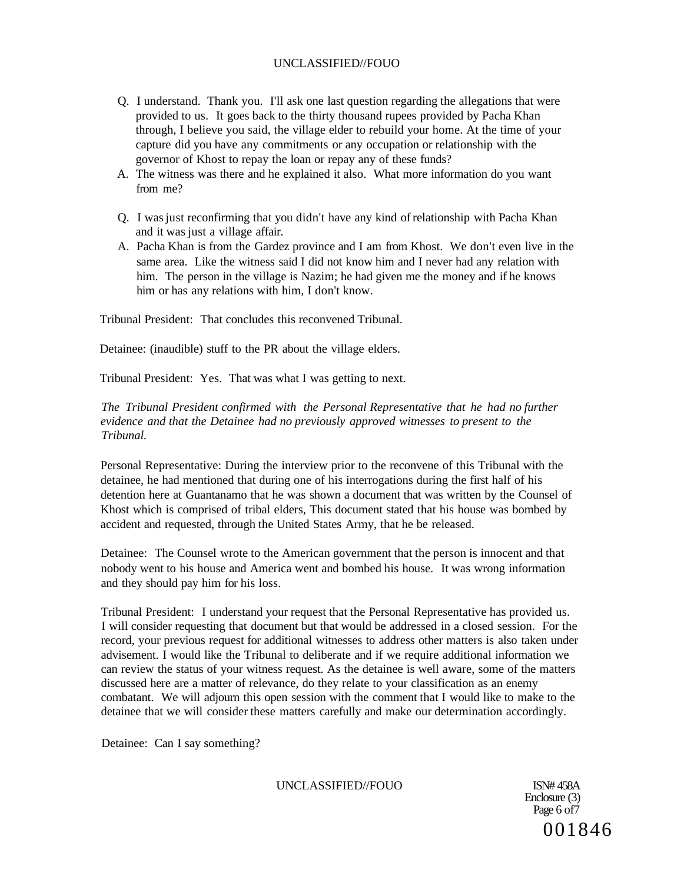- Q. I understand. Thank you. I'll ask one last question regarding the allegations that were provided to us. It goes back to the thirty thousand rupees provided by Pacha Khan through, I believe you said, the village elder to rebuild your home. At the time of your capture did you have any commitments or any occupation or relationship with the governor of Khost to repay the loan or repay any of these funds?
- A. The witness was there and he explained it also. What more information do you want from me?
- Q. I was just reconfirming that you didn't have any kind of relationship with Pacha Khan and it was just a village affair.
- A. Pacha Khan is from the Gardez province and I am from Khost. We don't even live in the same area. Like the witness said I did not know him and I never had any relation with him. The person in the village is Nazim; he had given me the money and if he knows him or has any relations with him, I don't know.

Tribunal President: That concludes this reconvened Tribunal.

Detainee: (inaudible) stuff to the PR about the village elders.

Tribunal President: Yes. That was what I was getting to next.

## *The Tribunal President confirmed with the Personal Representative that he had no further evidence and that the Detainee had no previously approved witnesses to present to the Tribunal.*

Personal Representative: During the interview prior to the reconvene of this Tribunal with the detainee, he had mentioned that during one of his interrogations during the first half of his detention here at Guantanamo that he was shown a document that was written by the Counsel of Khost which is comprised of tribal elders, This document stated that his house was bombed by accident and requested, through the United States Army, that he be released.

Detainee: The Counsel wrote to the American government that the person is innocent and that nobody went to his house and America went and bombed his house. It was wrong information and they should pay him for his loss.

Tribunal President: I understand your request that the Personal Representative has provided us. I will consider requesting that document but that would be addressed in a closed session. For the record, your previous request for additional witnesses to address other matters is also taken under advisement. I would like the Tribunal to deliberate and if we require additional information we can review the status of your witness request. As the detainee is well aware, some of the matters discussed here are a matter of relevance, do they relate to your classification as an enemy combatant. We will adjourn this open session with the comment that I would like to make to the detainee that we will consider these matters carefully and make our determination accordingly.

Detainee: Can I say something?